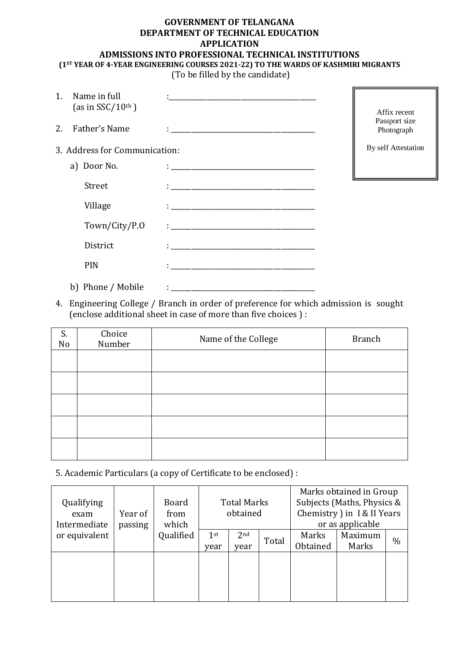## **GOVERNMENT OF TELANGANA DEPARTMENT OF TECHNICAL EDUCATION APPLICATION ADMISSIONS INTO PROFESSIONAL TECHNICAL INSTITUTIONS (1ST YEAR OF 4-YEAR ENGINEERING COURSES 2021-22) TO THE WARDS OF KASHMIRI MIGRANTS**

(To be filled by the candidate)

| 1. | Name in full<br>(as in $SSC/10^{th}$ ) |                                                                                 | Affix recent                |
|----|----------------------------------------|---------------------------------------------------------------------------------|-----------------------------|
| 2. | Father's Name                          |                                                                                 | Passport size<br>Photograph |
|    | 3. Address for Communication:          |                                                                                 | By self Attestation         |
|    | a) Door No.                            |                                                                                 |                             |
|    | Street                                 | the contract of the contract of the contract of the contract of the contract of |                             |
|    | Village                                |                                                                                 |                             |
|    | Town/City/P.O                          | the contract of the contract of the contract of the contract of the contract of |                             |
|    | District                               |                                                                                 |                             |
|    | PIN                                    |                                                                                 |                             |
|    | b) Phone / Mobile                      |                                                                                 |                             |

4. Engineering College / Branch in order of preference for which admission is sought (enclose additional sheet in case of more than five choices ) :

| S.<br>No | Choice<br>Number | Name of the College | <b>Branch</b> |
|----------|------------------|---------------------|---------------|
|          |                  |                     |               |
|          |                  |                     |               |
|          |                  |                     |               |
|          |                  |                     |               |
|          |                  |                     |               |

5. Academic Particulars (a copy of Certificate to be enclosed) :

| Qualifying<br>exam<br>Intermediate | Year of<br>passing | Board<br>from<br>which | <b>Total Marks</b><br>obtained |                         | Marks obtained in Group<br>Subjects (Maths, Physics &<br>Chemistry ) in I & II Years<br>or as applicable |                   |                  |      |
|------------------------------------|--------------------|------------------------|--------------------------------|-------------------------|----------------------------------------------------------------------------------------------------------|-------------------|------------------|------|
| or equivalent                      |                    | Qualified              | 1 <sup>st</sup><br>year        | 2 <sub>nd</sub><br>year | Total                                                                                                    | Marks<br>Obtained | Maximum<br>Marks | $\%$ |
|                                    |                    |                        |                                |                         |                                                                                                          |                   |                  |      |